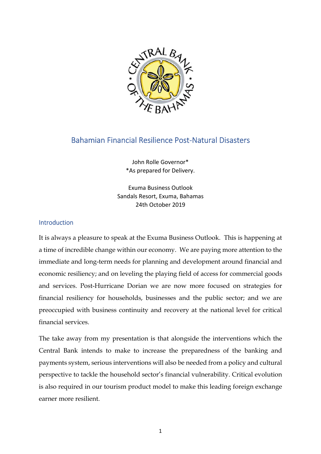

# Bahamian Financial Resilience Post-Natural Disasters

John Rolle Governor\* \*As prepared for Delivery.

Exuma Business Outlook Sandals Resort, Exuma, Bahamas 24th October 2019

## **Introduction**

It is always a pleasure to speak at the Exuma Business Outlook. This is happening at a time of incredible change within our economy. We are paying more attention to the immediate and long-term needs for planning and development around financial and economic resiliency; and on leveling the playing field of access for commercial goods and services. Post-Hurricane Dorian we are now more focused on strategies for financial resiliency for households, businesses and the public sector; and we are preoccupied with business continuity and recovery at the national level for critical financial services.

The take away from my presentation is that alongside the interventions which the Central Bank intends to make to increase the preparedness of the banking and payments system, serious interventions will also be needed from a policy and cultural perspective to tackle the household sector's financial vulnerability. Critical evolution is also required in our tourism product model to make this leading foreign exchange earner more resilient.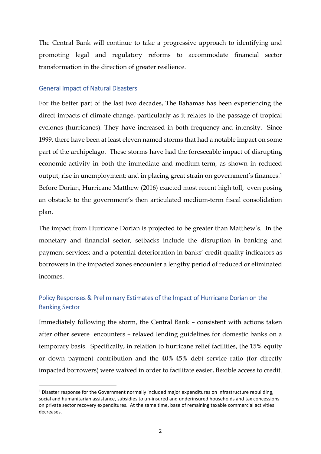The Central Bank will continue to take a progressive approach to identifying and promoting legal and regulatory reforms to accommodate financial sector transformation in the direction of greater resilience.

#### General Impact of Natural Disasters

.<br>-

For the better part of the last two decades, The Bahamas has been experiencing the direct impacts of climate change, particularly as it relates to the passage of tropical cyclones (hurricanes). They have increased in both frequency and intensity. Since 1999, there have been at least eleven named storms that had a notable impact on some part of the archipelago. These storms have had the foreseeable impact of disrupting economic activity in both the immediate and medium-term, as shown in reduced output, rise in unemployment; and in placing great strain on government's finances.<sup>1</sup> Before Dorian, Hurricane Matthew (2016) exacted most recent high toll, even posing an obstacle to the government's then articulated medium-term fiscal consolidation plan.

The impact from Hurricane Dorian is projected to be greater than Matthew's. In the monetary and financial sector, setbacks include the disruption in banking and payment services; and a potential deterioration in banks' credit quality indicators as borrowers in the impacted zones encounter a lengthy period of reduced or eliminated incomes.

## Policy Responses & Preliminary Estimates of the Impact of Hurricane Dorian on the Banking Sector

Immediately following the storm, the Central Bank – consistent with actions taken after other severe encounters – relaxed lending guidelines for domestic banks on a temporary basis. Specifically, in relation to hurricane relief facilities, the 15% equity or down payment contribution and the 40%-45% debt service ratio (for directly impacted borrowers) were waived in order to facilitate easier, flexible access to credit.

<sup>&</sup>lt;sup>1</sup> Disaster response for the Government normally included major expenditures on infrastructure rebuilding, social and humanitarian assistance, subsidies to un-insured and underinsured households and tax concessions on private sector recovery expenditures. At the same time, base of remaining taxable commercial activities decreases.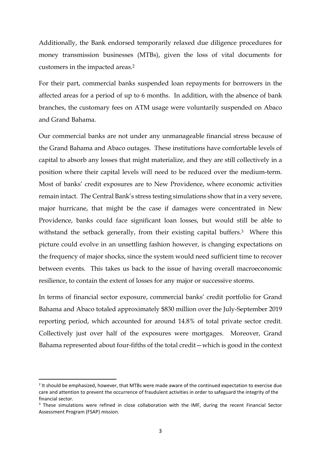Additionally, the Bank endorsed temporarily relaxed due diligence procedures for money transmission businesses (MTBs), given the loss of vital documents for customers in the impacted areas.<sup>2</sup>

For their part, commercial banks suspended loan repayments for borrowers in the affected areas for a period of up to 6 months. In addition, with the absence of bank branches, the customary fees on ATM usage were voluntarily suspended on Abaco and Grand Bahama.

Our commercial banks are not under any unmanageable financial stress because of the Grand Bahama and Abaco outages. These institutions have comfortable levels of capital to absorb any losses that might materialize, and they are still collectively in a position where their capital levels will need to be reduced over the medium-term. Most of banks' credit exposures are to New Providence, where economic activities remain intact. The Central Bank's stress testing simulations show that in a very severe, major hurricane, that might be the case if damages were concentrated in New Providence, banks could face significant loan losses, but would still be able to withstand the setback generally, from their existing capital buffers.<sup>3</sup> Where this picture could evolve in an unsettling fashion however, is changing expectations on the frequency of major shocks, since the system would need sufficient time to recover between events. This takes us back to the issue of having overall macroeconomic resilience, to contain the extent of losses for any major or successive storms.

In terms of financial sector exposure, commercial banks' credit portfolio for Grand Bahama and Abaco totaled approximately \$830 million over the July-September 2019 reporting period, which accounted for around 14.8% of total private sector credit. Collectively just over half of the exposures were mortgages. Moreover, Grand Bahama represented about four-fifths of the total credit—which is good in the context

-

<sup>&</sup>lt;sup>2</sup> It should be emphasized, however, that MTBs were made aware of the continued expectation to exercise due care and attention to prevent the occurrence of fraudulent activities in order to safeguard the integrity of the financial sector.

<sup>&</sup>lt;sup>3</sup> These simulations were refined in close collaboration with the IMF, during the recent Financial Sector Assessment Program (FSAP) mission.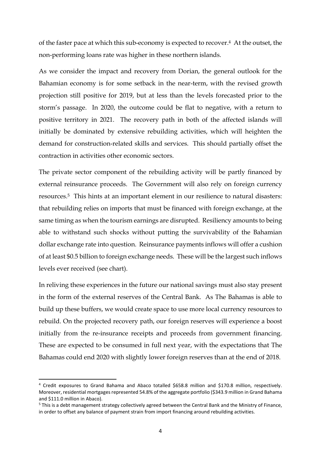of the faster pace at which this sub-economy is expected to recover.<sup>4</sup> At the outset, the non-performing loans rate was higher in these northern islands.

As we consider the impact and recovery from Dorian, the general outlook for the Bahamian economy is for some setback in the near-term, with the revised growth projection still positive for 2019, but at less than the levels forecasted prior to the storm's passage. In 2020, the outcome could be flat to negative, with a return to positive territory in 2021. The recovery path in both of the affected islands will initially be dominated by extensive rebuilding activities, which will heighten the demand for construction-related skills and services. This should partially offset the contraction in activities other economic sectors.

The private sector component of the rebuilding activity will be partly financed by external reinsurance proceeds. The Government will also rely on foreign currency resources.<sup>5</sup> This hints at an important element in our resilience to natural disasters: that rebuilding relies on imports that must be financed with foreign exchange, at the same timing as when the tourism earnings are disrupted. Resiliency amounts to being able to withstand such shocks without putting the survivability of the Bahamian dollar exchange rate into question. Reinsurance payments inflows will offer a cushion of at least \$0.5 billion to foreign exchange needs. These will be the largest such inflows levels ever received (see chart).

In reliving these experiences in the future our national savings must also stay present in the form of the external reserves of the Central Bank. As The Bahamas is able to build up these buffers, we would create space to use more local currency resources to rebuild. On the projected recovery path, our foreign reserves will experience a boost initially from the re-insurance receipts and proceeds from government financing. These are expected to be consumed in full next year, with the expectations that The Bahamas could end 2020 with slightly lower foreign reserves than at the end of 2018.

-

<sup>4</sup> Credit exposures to Grand Bahama and Abaco totalled \$658.8 million and \$170.8 million, respectively. Moreover, residential mortgages represented 54.8% of the aggregate portfolio (\$343.9 million in Grand Bahama and \$111.0 million in Abaco).

 $5$  This is a debt management strategy collectively agreed between the Central Bank and the Ministry of Finance, in order to offset any balance of payment strain from import financing around rebuilding activities.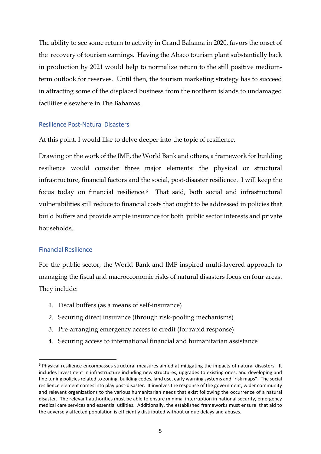The ability to see some return to activity in Grand Bahama in 2020, favors the onset of the recovery of tourism earnings. Having the Abaco tourism plant substantially back in production by 2021 would help to normalize return to the still positive mediumterm outlook for reserves. Until then, the tourism marketing strategy has to succeed in attracting some of the displaced business from the northern islands to undamaged facilities elsewhere in The Bahamas.

#### Resilience Post-Natural Disasters

At this point, I would like to delve deeper into the topic of resilience.

Drawing on the work of the IMF, the World Bank and others, a framework for building resilience would consider three major elements: the physical or structural infrastructure, financial factors and the social, post-disaster resilience. I will keep the focus today on financial resilience.<sup>6</sup> That said, both social and infrastructural vulnerabilities still reduce to financial costs that ought to be addressed in policies that build buffers and provide ample insurance for both public sector interests and private households.

#### Financial Resilience

<u>.</u>

For the public sector, the World Bank and IMF inspired multi-layered approach to managing the fiscal and macroeconomic risks of natural disasters focus on four areas. They include:

- 1. Fiscal buffers (as a means of self-insurance)
- 2. Securing direct insurance (through risk-pooling mechanisms)
- 3. Pre-arranging emergency access to credit (for rapid response)
- 4. Securing access to international financial and humanitarian assistance

<sup>&</sup>lt;sup>6</sup> Physical resilience encompasses structural measures aimed at mitigating the impacts of natural disasters. It includes investment in infrastructure including new structures, upgrades to existing ones; and developing and fine tuning policies related to zoning, building codes, land use, early warning systems and "risk maps". The social resilience element comes into play post-disaster. It involves the response of the government, wider community and relevant organizations to the various humanitarian needs that exist following the occurrence of a natural disaster. The relevant authorities must be able to ensure minimal interruption in national security, emergency medical care services and essential utilities. Additionally, the established frameworks must ensure that aid to the adversely affected population is efficiently distributed without undue delays and abuses.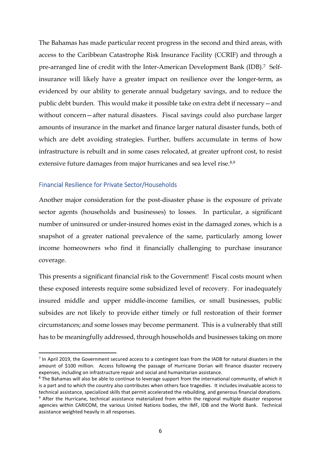The Bahamas has made particular recent progress in the second and third areas, with access to the Caribbean Catastrophe Risk Insurance Facility (CCRIF) and through a pre-arranged line of credit with the Inter-American Development Bank (IDB).7 Selfinsurance will likely have a greater impact on resilience over the longer-term, as evidenced by our ability to generate annual budgetary savings, and to reduce the public debt burden. This would make it possible take on extra debt if necessary—and without concern—after natural disasters. Fiscal savings could also purchase larger amounts of insurance in the market and finance larger natural disaster funds, both of which are debt avoiding strategies. Further, buffers accumulate in terms of how infrastructure is rebuilt and in some cases relocated, at greater upfront cost, to resist extensive future damages from major hurricanes and sea level rise.<sup>8,9</sup>

#### Financial Resilience for Private Sector/Households

.<br>-

Another major consideration for the post-disaster phase is the exposure of private sector agents (households and businesses) to losses. In particular, a significant number of uninsured or under-insured homes exist in the damaged zones, which is a snapshot of a greater national prevalence of the same, particularly among lower income homeowners who find it financially challenging to purchase insurance coverage.

This presents a significant financial risk to the Government! Fiscal costs mount when these exposed interests require some subsidized level of recovery. For inadequately insured middle and upper middle-income families, or small businesses, public subsides are not likely to provide either timely or full restoration of their former circumstances; and some losses may become permanent. This is a vulnerably that still has to be meaningfully addressed, through households and businesses taking on more

 $<sup>7</sup>$  In April 2019, the Government secured access to a contingent loan from the IADB for natural disasters in the</sup> amount of \$100 million. Access following the passage of Hurricane Dorian will finance disaster recovery expenses, including on infrastructure repair and social and humanitarian assistance.

<sup>&</sup>lt;sup>8</sup> The Bahamas will also be able to continue to leverage support from the international community, of which it is a part and to which the country also contributes when others face tragedies. It includes invaluable access to technical assistance, specialized skills that permit accelerated the rebuilding, and generous financial donations.

<sup>&</sup>lt;sup>9</sup> After the Hurricane, technical assistance materialized from within the regional multiple disaster response agencies within CARICOM, the various United Nations bodies, the IMF, IDB and the World Bank. Technical assistance weighted heavily in all responses.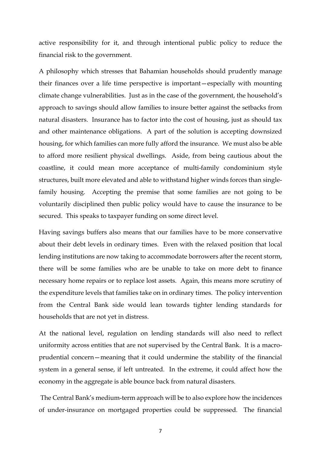active responsibility for it, and through intentional public policy to reduce the financial risk to the government.

A philosophy which stresses that Bahamian households should prudently manage their finances over a life time perspective is important—especially with mounting climate change vulnerabilities. Just as in the case of the government, the household's approach to savings should allow families to insure better against the setbacks from natural disasters. Insurance has to factor into the cost of housing, just as should tax and other maintenance obligations. A part of the solution is accepting downsized housing, for which families can more fully afford the insurance. We must also be able to afford more resilient physical dwellings. Aside, from being cautious about the coastline, it could mean more acceptance of multi-family condominium style structures, built more elevated and able to withstand higher winds forces than singlefamily housing. Accepting the premise that some families are not going to be voluntarily disciplined then public policy would have to cause the insurance to be secured. This speaks to taxpayer funding on some direct level.

Having savings buffers also means that our families have to be more conservative about their debt levels in ordinary times. Even with the relaxed position that local lending institutions are now taking to accommodate borrowers after the recent storm, there will be some families who are be unable to take on more debt to finance necessary home repairs or to replace lost assets. Again, this means more scrutiny of the expenditure levels that families take on in ordinary times. The policy intervention from the Central Bank side would lean towards tighter lending standards for households that are not yet in distress.

At the national level, regulation on lending standards will also need to reflect uniformity across entities that are not supervised by the Central Bank. It is a macroprudential concern—meaning that it could undermine the stability of the financial system in a general sense, if left untreated. In the extreme, it could affect how the economy in the aggregate is able bounce back from natural disasters.

 The Central Bank's medium-term approach will be to also explore how the incidences of under-insurance on mortgaged properties could be suppressed. The financial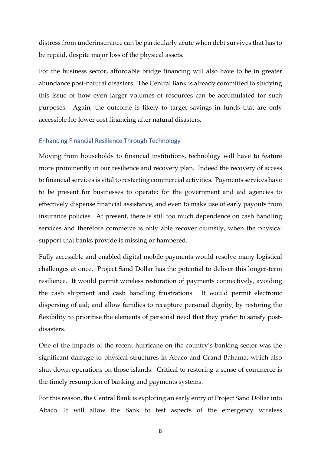distress from underinsurance can be particularly acute when debt survives that has to be repaid, despite major loss of the physical assets.

For the business sector, affordable bridge financing will also have to be in greater abundance post-natural disasters. The Central Bank is already committed to studying this issue of how even larger volumes of resources can be accumulated for such purposes. Again, the outcome is likely to target savings in funds that are only accessible for lower cost financing after natural disasters.

#### Enhancing Financial Resilience Through Technology

Moving from households to financial institutions, technology will have to feature more prominently in our resilience and recovery plan. Indeed the recovery of access to financial services is vital to restarting commercial activities. Payments services have to be present for businesses to operate; for the government and aid agencies to effectively dispense financial assistance, and even to make use of early payouts from insurance policies. At present, there is still too much dependence on cash handling services and therefore commerce is only able recover clumsily, when the physical support that banks provide is missing or hampered.

Fully accessible and enabled digital mobile payments would resolve many logistical challenges at once. Project Sand Dollar has the potential to deliver this longer-term resilience. It would permit wireless restoration of payments connectively, avoiding the cash shipment and cash handling frustrations. It would permit electronic dispersing of aid; and allow families to recapture personal dignity, by restoring the flexibility to prioritise the elements of personal need that they prefer to satisfy postdisasters.

One of the impacts of the recent hurricane on the country's banking sector was the significant damage to physical structures in Abaco and Grand Bahama, which also shut down operations on those islands. Critical to restoring a sense of commerce is the timely resumption of banking and payments systems.

For this reason, the Central Bank is exploring an early entry of Project Sand Dollar into Abaco. It will allow the Bank to test aspects of the emergency wireless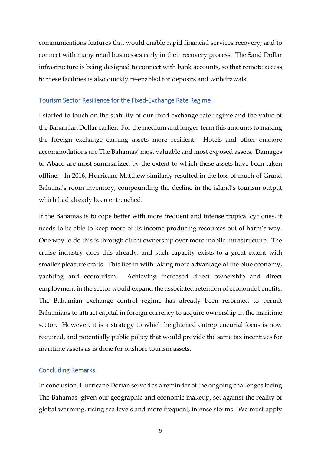communications features that would enable rapid financial services recovery; and to connect with many retail businesses early in their recovery process. The Sand Dollar infrastructure is being designed to connect with bank accounts, so that remote access to these facilities is also quickly re-enabled for deposits and withdrawals.

#### Tourism Sector Resilience for the Fixed-Exchange Rate Regime

I started to touch on the stability of our fixed exchange rate regime and the value of the Bahamian Dollar earlier. For the medium and longer-term this amounts to making the foreign exchange earning assets more resilient. Hotels and other onshore accommodations are The Bahamas' most valuable and most exposed assets. Damages to Abaco are most summarized by the extent to which these assets have been taken offline. In 2016, Hurricane Matthew similarly resulted in the loss of much of Grand Bahama's room inventory, compounding the decline in the island's tourism output which had already been entrenched.

If the Bahamas is to cope better with more frequent and intense tropical cyclones, it needs to be able to keep more of its income producing resources out of harm's way. One way to do this is through direct ownership over more mobile infrastructure. The cruise industry does this already, and such capacity exists to a great extent with smaller pleasure crafts. This ties in with taking more advantage of the blue economy, yachting and ecotourism. Achieving increased direct ownership and direct employment in the sector would expand the associated retention of economic benefits. The Bahamian exchange control regime has already been reformed to permit Bahamians to attract capital in foreign currency to acquire ownership in the maritime sector. However, it is a strategy to which heightened entrepreneurial focus is now required, and potentially public policy that would provide the same tax incentives for maritime assets as is done for onshore tourism assets.

#### Concluding Remarks

In conclusion, Hurricane Dorian served as a reminder of the ongoing challenges facing The Bahamas, given our geographic and economic makeup, set against the reality of global warming, rising sea levels and more frequent, intense storms. We must apply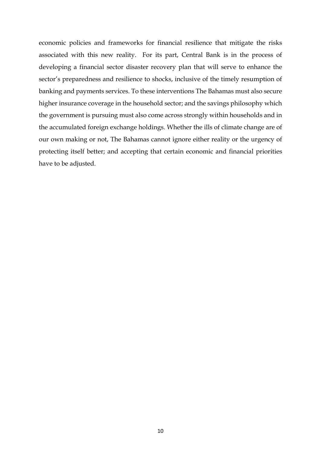economic policies and frameworks for financial resilience that mitigate the risks associated with this new reality. For its part, Central Bank is in the process of developing a financial sector disaster recovery plan that will serve to enhance the sector's preparedness and resilience to shocks, inclusive of the timely resumption of banking and payments services. To these interventions The Bahamas must also secure higher insurance coverage in the household sector; and the savings philosophy which the government is pursuing must also come across strongly within households and in the accumulated foreign exchange holdings. Whether the ills of climate change are of our own making or not, The Bahamas cannot ignore either reality or the urgency of protecting itself better; and accepting that certain economic and financial priorities have to be adjusted.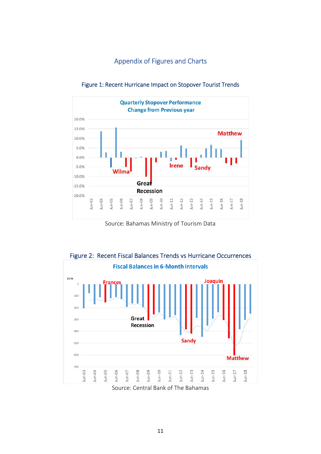## Appendix of Figures and Charts



Figure 1: Recent Hurricane Impact on Stopover Tourist Trends

Source: Bahamas Ministry of Tourism Data